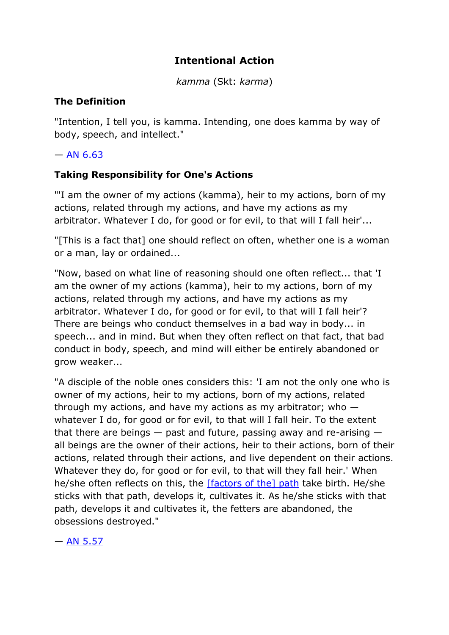# **Intentional Action**

*kamma* (Skt: *karma*)

## **The Definition**

"Intention, I tell you, is kamma. Intending, one does kamma by way of body, speech, and intellect."

## $-$  [AN 6.63](http://www.accesstoinsight.org/tipitaka/an/an06/an06.063.than.html#part-5)

# **Taking Responsibility for One's Actions**

"'I am the owner of my actions (kamma), heir to my actions, born of my actions, related through my actions, and have my actions as my arbitrator. Whatever I do, for good or for evil, to that will I fall heir'...

"[This is a fact that] one should reflect on often, whether one is a woman or a man, lay or ordained...

"Now, based on what line of reasoning should one often reflect... that 'I am the owner of my actions (kamma), heir to my actions, born of my actions, related through my actions, and have my actions as my arbitrator. Whatever I do, for good or for evil, to that will I fall heir'? There are beings who conduct themselves in a bad way in body... in speech... and in mind. But when they often reflect on that fact, that bad conduct in body, speech, and mind will either be entirely abandoned or grow weaker...

"A disciple of the noble ones considers this: 'I am not the only one who is owner of my actions, heir to my actions, born of my actions, related through my actions, and have my actions as my arbitrator; who  $$ whatever I do, for good or for evil, to that will I fall heir. To the extent that there are beings  $-$  past and future, passing away and re-arising  $$ all beings are the owner of their actions, heir to their actions, born of their actions, related through their actions, and live dependent on their actions. Whatever they do, for good or for evil, to that will they fall heir.' When he/she often reflects on this, the [\[factors of the\] path](http://www.accesstoinsight.org/ptf/dhamma/sacca/index.html) take birth. He/she sticks with that path, develops it, cultivates it. As he/she sticks with that path, develops it and cultivates it, the fetters are abandoned, the obsessions destroyed."

 $-$  [AN 5.57](http://www.accesstoinsight.org/tipitaka/an/an05/an05.057.than.html)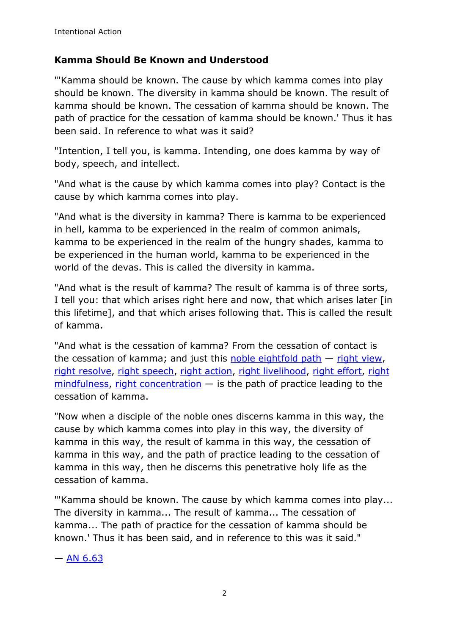## **Kamma Should Be Known and Understood**

"'Kamma should be known. The cause by which kamma comes into play should be known. The diversity in kamma should be known. The result of kamma should be known. The cessation of kamma should be known. The path of practice for the cessation of kamma should be known.' Thus it has been said. In reference to what was it said?

"Intention, I tell you, is kamma. Intending, one does kamma by way of body, speech, and intellect.

"And what is the cause by which kamma comes into play? Contact is the cause by which kamma comes into play.

"And what is the diversity in kamma? There is kamma to be experienced in hell, kamma to be experienced in the realm of common animals, kamma to be experienced in the realm of the hungry shades, kamma to be experienced in the human world, kamma to be experienced in the world of the devas. This is called the diversity in kamma.

"And what is the result of kamma? The result of kamma is of three sorts, I tell you: that which arises right here and now, that which arises later [in this lifetime], and that which arises following that. This is called the result of kamma.

"And what is the cessation of kamma? From the cessation of contact is the cessation of kamma; and just this [noble eightfold path](http://www.accesstoinsight.org/ptf/dhamma/sacca/index.html) — [right view,](http://www.accesstoinsight.org/ptf/dhamma/sacca/sacca4/samma-ditthi/index.html) [right resolve,](http://www.accesstoinsight.org/ptf/dhamma/sacca/sacca4/samma-sankappo/index.html) [right speech,](http://www.accesstoinsight.org/ptf/dhamma/sacca/sacca4/samma-vaca/index.html) [right action,](http://www.accesstoinsight.org/ptf/dhamma/sacca/sacca4/samma-kammanto/index.html) [right livelihood,](http://www.accesstoinsight.org/ptf/dhamma/sacca/sacca4/samma-ajivo/index.html) [right effort,](http://www.accesstoinsight.org/ptf/dhamma/sacca/sacca4/samma-vayamo/index.html) [right](http://www.accesstoinsight.org/ptf/dhamma/sacca/sacca4/samma-sati/index.html)  [mindfulness,](http://www.accesstoinsight.org/ptf/dhamma/sacca/sacca4/samma-sati/index.html) [right concentration](http://www.accesstoinsight.org/ptf/dhamma/sacca/sacca4/samma-samadhi/index.html)  $-$  is the path of practice leading to the cessation of kamma.

"Now when a disciple of the noble ones discerns kamma in this way, the cause by which kamma comes into play in this way, the diversity of kamma in this way, the result of kamma in this way, the cessation of kamma in this way, and the path of practice leading to the cessation of kamma in this way, then he discerns this penetrative holy life as the cessation of kamma.

"'Kamma should be known. The cause by which kamma comes into play... The diversity in kamma... The result of kamma... The cessation of kamma... The path of practice for the cessation of kamma should be known.' Thus it has been said, and in reference to this was it said."

 $-$  [AN 6.63](http://www.accesstoinsight.org/tipitaka/an/an06/an06.063.than.html#part-5)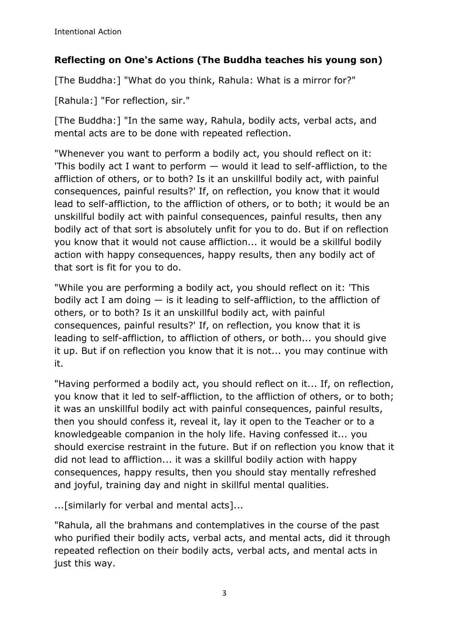# **Reflecting on One's Actions (The Buddha teaches his young son)**

[The Buddha:] "What do you think, Rahula: What is a mirror for?"

[Rahula:] "For reflection, sir."

[The Buddha:] "In the same way, Rahula, bodily acts, verbal acts, and mental acts are to be done with repeated reflection.

"Whenever you want to perform a bodily act, you should reflect on it: 'This bodily act I want to perform — would it lead to self-affliction, to the affliction of others, or to both? Is it an unskillful bodily act, with painful consequences, painful results?' If, on reflection, you know that it would lead to self-affliction, to the affliction of others, or to both; it would be an unskillful bodily act with painful consequences, painful results, then any bodily act of that sort is absolutely unfit for you to do. But if on reflection you know that it would not cause affliction... it would be a skillful bodily action with happy consequences, happy results, then any bodily act of that sort is fit for you to do.

"While you are performing a bodily act, you should reflect on it: 'This bodily act I am doing  $-$  is it leading to self-affliction, to the affliction of others, or to both? Is it an unskillful bodily act, with painful consequences, painful results?' If, on reflection, you know that it is leading to self-affliction, to affliction of others, or both... you should give it up. But if on reflection you know that it is not... you may continue with it.

"Having performed a bodily act, you should reflect on it... If, on reflection, you know that it led to self-affliction, to the affliction of others, or to both; it was an unskillful bodily act with painful consequences, painful results, then you should confess it, reveal it, lay it open to the Teacher or to a knowledgeable companion in the holy life. Having confessed it... you should exercise restraint in the future. But if on reflection you know that it did not lead to affliction... it was a skillful bodily action with happy consequences, happy results, then you should stay mentally refreshed and joyful, training day and night in skillful mental qualities.

...[similarly for verbal and mental acts]...

"Rahula, all the brahmans and contemplatives in the course of the past who purified their bodily acts, verbal acts, and mental acts, did it through repeated reflection on their bodily acts, verbal acts, and mental acts in just this way.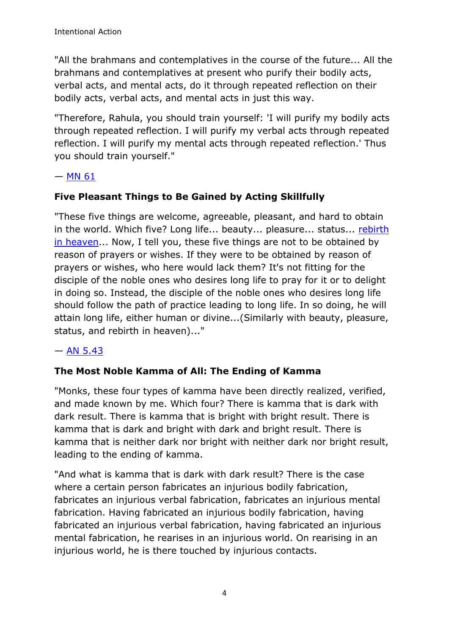"All the brahmans and contemplatives in the course of the future... All the brahmans and contemplatives at present who purify their bodily acts, verbal acts, and mental acts, do it through repeated reflection on their bodily acts, verbal acts, and mental acts in just this way.

"Therefore, Rahula, you should train yourself: 'I will purify my bodily acts through repeated reflection. I will purify my verbal acts through repeated reflection. I will purify my mental acts through repeated reflection.' Thus you should train yourself."

 $-$  [MN 61](http://www.accesstoinsight.org/tipitaka/mn/mn.061.than.html)

## **Five Pleasant Things to Be Gained by Acting Skillfully**

"These five things are welcome, agreeable, pleasant, and hard to obtain in the world. Which five? Long life... beauty... pleasure... status... rebirth [in heaven.](http://www.accesstoinsight.org/ptf/dhamma/sagga/index.html).. Now, I tell you, these five things are not to be obtained by reason of prayers or wishes. If they were to be obtained by reason of prayers or wishes, who here would lack them? It's not fitting for the disciple of the noble ones who desires long life to pray for it or to delight in doing so. Instead, the disciple of the noble ones who desires long life should follow the path of practice leading to long life. In so doing, he will attain long life, either human or divine...(Similarly with beauty, pleasure, status, and rebirth in heaven)..."

#### $-$  [AN 5.43](http://www.accesstoinsight.org/tipitaka/an/an05/an05.043.than.html)

#### **The Most Noble Kamma of All: The Ending of Kamma**

"Monks, these four types of kamma have been directly realized, verified, and made known by me. Which four? There is kamma that is dark with dark result. There is kamma that is bright with bright result. There is kamma that is dark and bright with dark and bright result. There is kamma that is neither dark nor bright with neither dark nor bright result, leading to the ending of kamma.

"And what is kamma that is dark with dark result? There is the case where a certain person fabricates an injurious bodily fabrication, fabricates an injurious verbal fabrication, fabricates an injurious mental fabrication. Having fabricated an injurious bodily fabrication, having fabricated an injurious verbal fabrication, having fabricated an injurious mental fabrication, he rearises in an injurious world. On rearising in an injurious world, he is there touched by injurious contacts.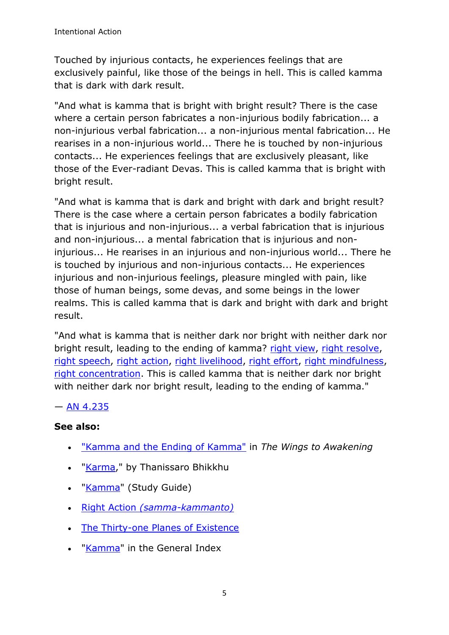Touched by injurious contacts, he experiences feelings that are exclusively painful, like those of the beings in hell. This is called kamma that is dark with dark result.

"And what is kamma that is bright with bright result? There is the case where a certain person fabricates a non-injurious bodily fabrication... a non-injurious verbal fabrication... a non-injurious mental fabrication... He rearises in a non-injurious world... There he is touched by non-injurious contacts... He experiences feelings that are exclusively pleasant, like those of the Ever-radiant Devas. This is called kamma that is bright with bright result.

"And what is kamma that is dark and bright with dark and bright result? There is the case where a certain person fabricates a bodily fabrication that is injurious and non-injurious... a verbal fabrication that is injurious and non-injurious... a mental fabrication that is injurious and noninjurious... He rearises in an injurious and non-injurious world... There he is touched by injurious and non-injurious contacts... He experiences injurious and non-injurious feelings, pleasure mingled with pain, like those of human beings, some devas, and some beings in the lower realms. This is called kamma that is dark and bright with dark and bright result.

"And what is kamma that is neither dark nor bright with neither dark nor bright result, leading to the ending of kamma? [right view,](http://www.accesstoinsight.org/ptf/dhamma/sacca/sacca4/samma-ditthi/index.html) [right resolve,](http://www.accesstoinsight.org/ptf/dhamma/sacca/sacca4/samma-sankappo/index.html) [right speech,](http://www.accesstoinsight.org/ptf/dhamma/sacca/sacca4/samma-vaca/index.html) [right action,](http://www.accesstoinsight.org/ptf/dhamma/sacca/sacca4/samma-kammanto/index.html) [right livelihood,](http://www.accesstoinsight.org/ptf/dhamma/sacca/sacca4/samma-ajivo/index.html) [right effort,](http://www.accesstoinsight.org/ptf/dhamma/sacca/sacca4/samma-vayamo/index.html) [right mindfulness,](http://www.accesstoinsight.org/ptf/dhamma/sacca/sacca4/samma-sati/index.html) [right concentration.](http://www.accesstoinsight.org/ptf/dhamma/sacca/sacca4/samma-samadhi/index.html) This is called kamma that is neither dark nor bright with neither dark nor bright result, leading to the ending of kamma."

#### $-$  [AN 4.235](http://www.accesstoinsight.org/tipitaka/an/an04/an04.235.than.html)

#### **See also:**

- ["Kamma and the Ending of Kamma"](http://www.accesstoinsight.org/lib/authors/thanissaro/wings/part1.html#part1-b) in *The Wings to Awakening*
- . ["Karma,](http://www.accesstoinsight.org/lib/authors/thanissaro/karma.html)" by Thanissaro Bhikkhu
- ["Kamma"](http://www.accesstoinsight.org/lib/study/kamma.html) (Study Guide)
- Right Action *[\(samma-kammanto\)](http://www.accesstoinsight.org/ptf/dhamma/sacca/sacca4/samma-kammanto/index.html)*
- [The Thirty-one Planes of Existence](http://www.accesstoinsight.org/ptf/dhamma/sagga/loka.html)
- . ["Kamma"](http://www.accesstoinsight.org/index-subject.html#kamma) in the General Index